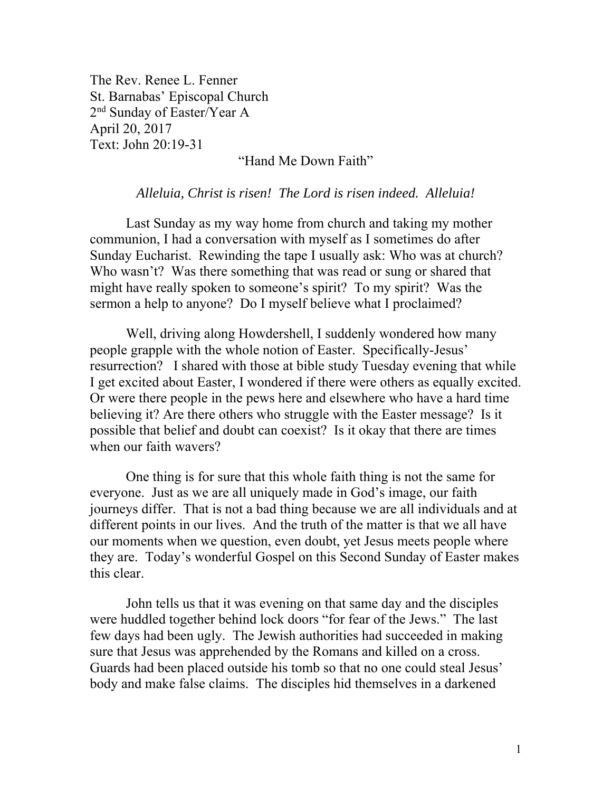The Rev. Renee L. Fenner St. Barnabas' Episcopal Church 2nd Sunday of Easter/Year A April 20, 2017 Text: John 20:19-31

## "Hand Me Down Faith"

## *Alleluia, Christ is risen! The Lord is risen indeed. Alleluia!*

Last Sunday as my way home from church and taking my mother communion, I had a conversation with myself as I sometimes do after Sunday Eucharist. Rewinding the tape I usually ask: Who was at church? Who wasn't? Was there something that was read or sung or shared that might have really spoken to someone's spirit? To my spirit? Was the sermon a help to anyone? Do I myself believe what I proclaimed?

Well, driving along Howdershell, I suddenly wondered how many people grapple with the whole notion of Easter. Specifically-Jesus' resurrection? I shared with those at bible study Tuesday evening that while I get excited about Easter, I wondered if there were others as equally excited. Or were there people in the pews here and elsewhere who have a hard time believing it? Are there others who struggle with the Easter message? Is it possible that belief and doubt can coexist? Is it okay that there are times when our faith wavers?

One thing is for sure that this whole faith thing is not the same for everyone. Just as we are all uniquely made in God's image, our faith journeys differ. That is not a bad thing because we are all individuals and at different points in our lives. And the truth of the matter is that we all have our moments when we question, even doubt, yet Jesus meets people where they are. Today's wonderful Gospel on this Second Sunday of Easter makes this clear.

John tells us that it was evening on that same day and the disciples were huddled together behind lock doors "for fear of the Jews." The last few days had been ugly. The Jewish authorities had succeeded in making sure that Jesus was apprehended by the Romans and killed on a cross. Guards had been placed outside his tomb so that no one could steal Jesus' body and make false claims. The disciples hid themselves in a darkened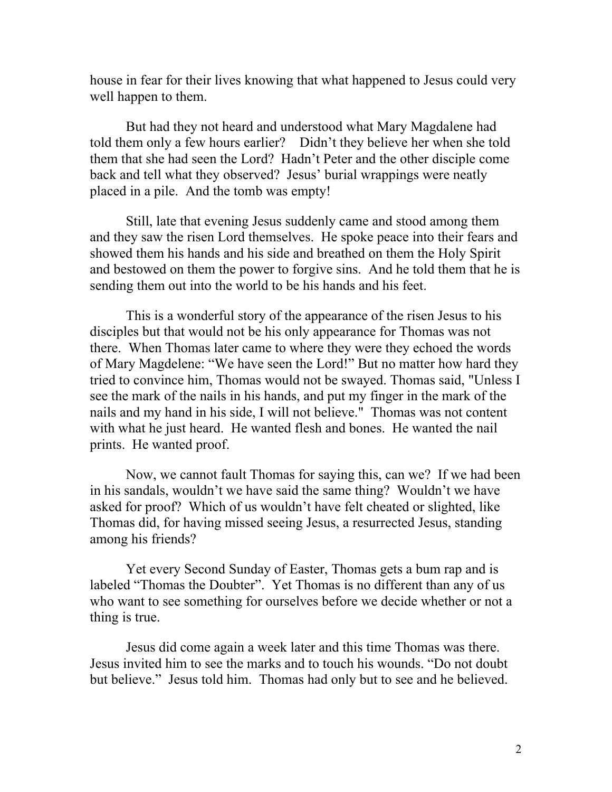house in fear for their lives knowing that what happened to Jesus could very well happen to them.

But had they not heard and understood what Mary Magdalene had told them only a few hours earlier? Didn't they believe her when she told them that she had seen the Lord? Hadn't Peter and the other disciple come back and tell what they observed? Jesus' burial wrappings were neatly placed in a pile. And the tomb was empty!

Still, late that evening Jesus suddenly came and stood among them and they saw the risen Lord themselves. He spoke peace into their fears and showed them his hands and his side and breathed on them the Holy Spirit and bestowed on them the power to forgive sins. And he told them that he is sending them out into the world to be his hands and his feet.

This is a wonderful story of the appearance of the risen Jesus to his disciples but that would not be his only appearance for Thomas was not there. When Thomas later came to where they were they echoed the words of Mary Magdelene: "We have seen the Lord!" But no matter how hard they tried to convince him, Thomas would not be swayed. Thomas said, "Unless I see the mark of the nails in his hands, and put my finger in the mark of the nails and my hand in his side, I will not believe." Thomas was not content with what he just heard. He wanted flesh and bones. He wanted the nail prints. He wanted proof.

Now, we cannot fault Thomas for saying this, can we? If we had been in his sandals, wouldn't we have said the same thing? Wouldn't we have asked for proof? Which of us wouldn't have felt cheated or slighted, like Thomas did, for having missed seeing Jesus, a resurrected Jesus, standing among his friends?

Yet every Second Sunday of Easter, Thomas gets a bum rap and is labeled "Thomas the Doubter". Yet Thomas is no different than any of us who want to see something for ourselves before we decide whether or not a thing is true.

Jesus did come again a week later and this time Thomas was there. Jesus invited him to see the marks and to touch his wounds. "Do not doubt but believe." Jesus told him. Thomas had only but to see and he believed.